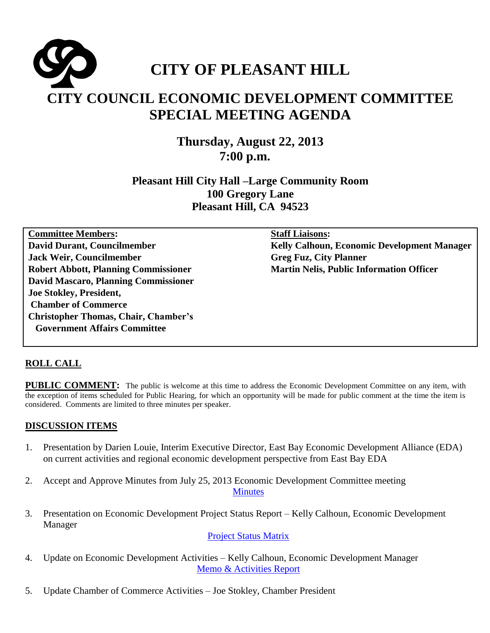

**Thursday, August 22, 2013 7:00 p.m.** 

**Pleasant Hill City Hall –Large Community Room 100 Gregory Lane Pleasant Hill, CA 94523**

**Committee Members: David Durant, Councilmember Jack Weir, Councilmember Robert Abbott, Planning Commissioner David Mascaro, Planning Commissioner Joe Stokley, President, Chamber of Commerce Christopher Thomas, Chair, Chamber's Government Affairs Committee**

**Staff Liaisons:** 

**Kelly Calhoun, Economic Development Manager Greg Fuz, City Planner Martin Nelis, Public Information Officer**

## **ROLL CALL**

**PUBLIC COMMENT:** The public is welcome at this time to address the Economic Development Committee on any item, with the exception of items scheduled for Public Hearing, for which an opportunity will be made for public comment at the time the item is considered. Comments are limited to three minutes per speaker.

## **DISCUSSION ITEMS**

- 1. Presentation by Darien Louie, Interim Executive Director, East Bay Economic Development Alliance (EDA) on current activities and regional economic development perspective from East Bay EDA
- 2. Accept and Approve Minutes from July 25, 2013 Economic Development Committee meeting **[Minutes](http://www.ci.pleasant-hill.ca.us/DocumentCenter/View/11192)**
- 3. Presentation on Economic Development Project Status Report Kelly Calhoun, Economic Development Manager

[Project Status Matrix](http://www.ci.pleasant-hill.ca.us/DocumentCenter/View/11193)

- 4. Update on Economic Development Activities Kelly Calhoun, Economic Development Manager [Memo & Activities Report](http://www.ci.pleasant-hill.ca.us/DocumentCenter/View/11194)
- 5. Update Chamber of Commerce Activities Joe Stokley, Chamber President